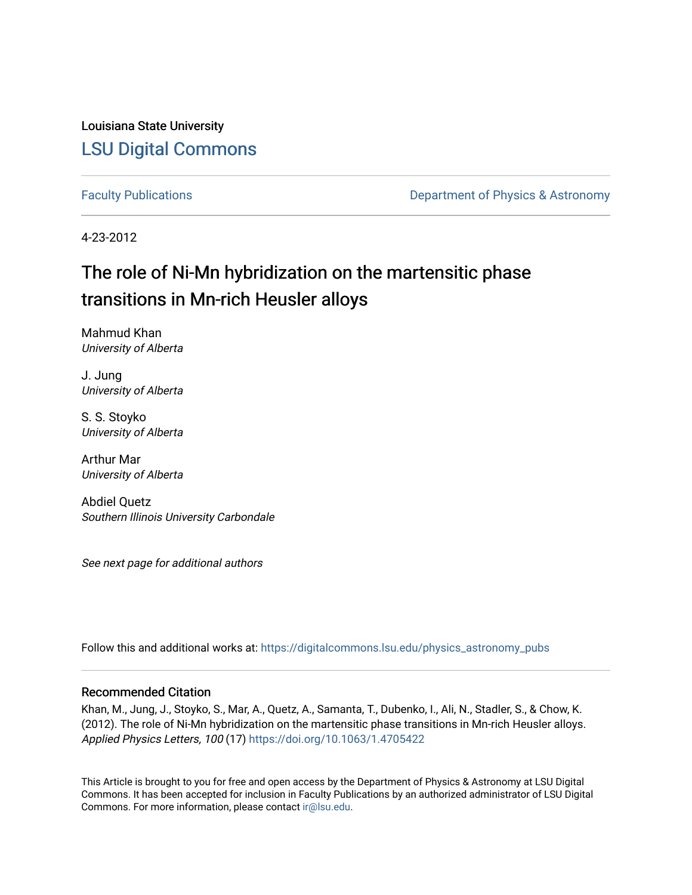Louisiana State University [LSU Digital Commons](https://digitalcommons.lsu.edu/)

[Faculty Publications](https://digitalcommons.lsu.edu/physics_astronomy_pubs) **Exercise 2 and Table 2 and Table 2 and Table 2 and Table 2 and Table 2 and Table 2 and Table 2 and Table 2 and Table 2 and Table 2 and Table 2 and Table 2 and Table 2 and Table 2 and Table 2 and Table** 

4-23-2012

# The role of Ni-Mn hybridization on the martensitic phase transitions in Mn-rich Heusler alloys

Mahmud Khan University of Alberta

J. Jung University of Alberta

S. S. Stoyko University of Alberta

Arthur Mar University of Alberta

Abdiel Quetz Southern Illinois University Carbondale

See next page for additional authors

Follow this and additional works at: [https://digitalcommons.lsu.edu/physics\\_astronomy\\_pubs](https://digitalcommons.lsu.edu/physics_astronomy_pubs?utm_source=digitalcommons.lsu.edu%2Fphysics_astronomy_pubs%2F5284&utm_medium=PDF&utm_campaign=PDFCoverPages) 

## Recommended Citation

Khan, M., Jung, J., Stoyko, S., Mar, A., Quetz, A., Samanta, T., Dubenko, I., Ali, N., Stadler, S., & Chow, K. (2012). The role of Ni-Mn hybridization on the martensitic phase transitions in Mn-rich Heusler alloys. Applied Physics Letters, 100 (17)<https://doi.org/10.1063/1.4705422>

This Article is brought to you for free and open access by the Department of Physics & Astronomy at LSU Digital Commons. It has been accepted for inclusion in Faculty Publications by an authorized administrator of LSU Digital Commons. For more information, please contact [ir@lsu.edu](mailto:ir@lsu.edu).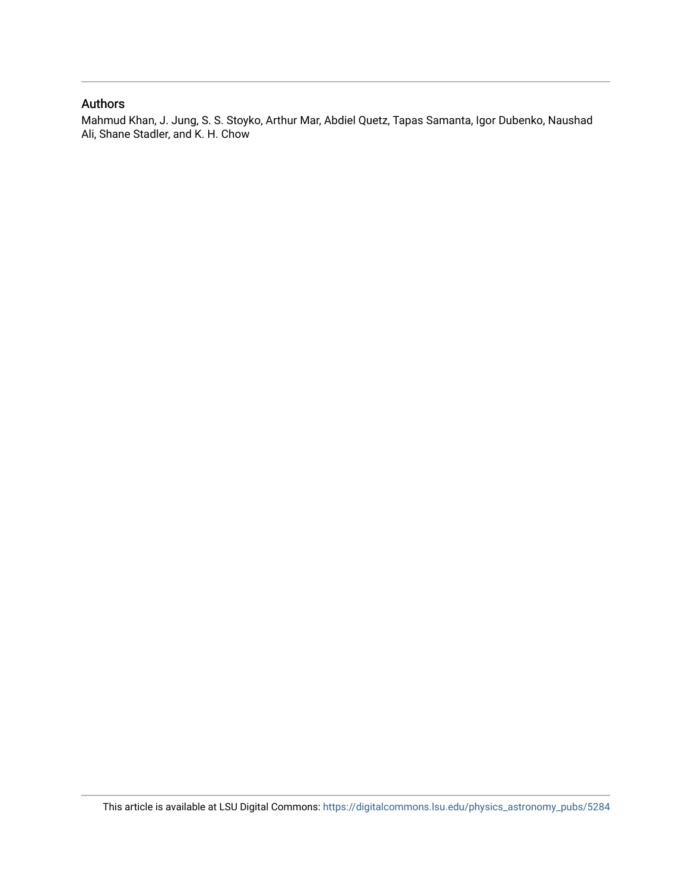## Authors

Mahmud Khan, J. Jung, S. S. Stoyko, Arthur Mar, Abdiel Quetz, Tapas Samanta, Igor Dubenko, Naushad Ali, Shane Stadler, and K. H. Chow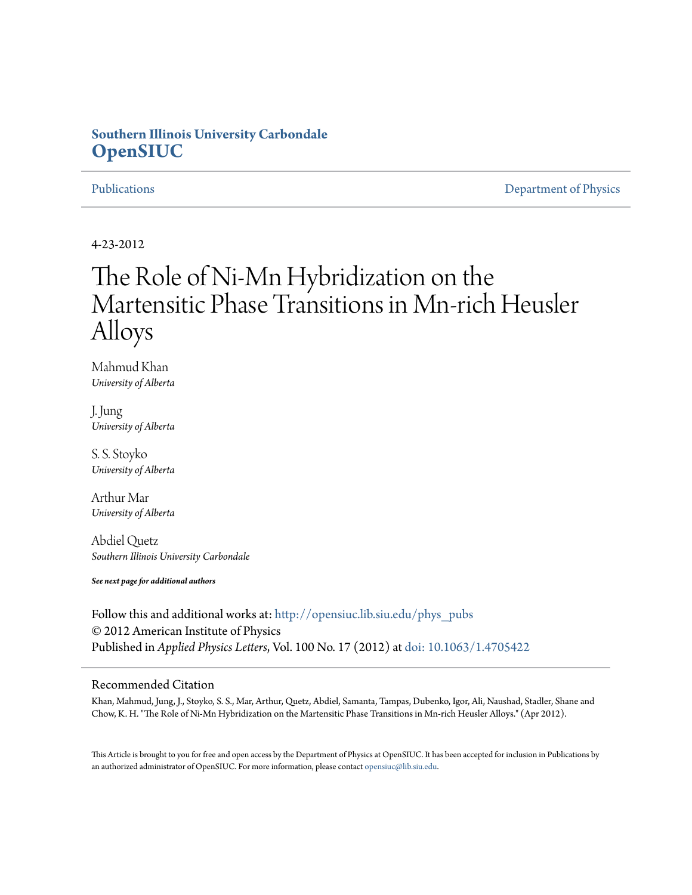# **Southern Illinois University Carbondale [OpenSIUC](http://opensiuc.lib.siu.edu?utm_source=opensiuc.lib.siu.edu%2Fphys_pubs%2F65&utm_medium=PDF&utm_campaign=PDFCoverPages)**

[Publications](http://opensiuc.lib.siu.edu/phys_pubs?utm_source=opensiuc.lib.siu.edu%2Fphys_pubs%2F65&utm_medium=PDF&utm_campaign=PDFCoverPages) [Department of Physics](http://opensiuc.lib.siu.edu/phys?utm_source=opensiuc.lib.siu.edu%2Fphys_pubs%2F65&utm_medium=PDF&utm_campaign=PDFCoverPages)

4-23-2012

# The Role of Ni-Mn Hybridization on the Martensitic Phase Transitions in Mn-rich Heusler Alloys

Mahmud Khan *University of Alberta*

J. Jung *University of Alberta*

S. S. Stoyko *University of Alberta*

Arthur Mar *University of Alberta*

Abdiel Quetz *Southern Illinois University Carbondale*

*See next page for additional authors*

Follow this and additional works at: [http://opensiuc.lib.siu.edu/phys\\_pubs](http://opensiuc.lib.siu.edu/phys_pubs?utm_source=opensiuc.lib.siu.edu%2Fphys_pubs%2F65&utm_medium=PDF&utm_campaign=PDFCoverPages) © 2012 American Institute of Physics Published in *Applied Physics Letters*, Vol. 100 No. 17 (2012) at [doi: 10.1063/1.4705422](http://dx.doi.org/10.1063/1.4705422)

### Recommended Citation

Khan, Mahmud, Jung, J., Stoyko, S. S., Mar, Arthur, Quetz, Abdiel, Samanta, Tampas, Dubenko, Igor, Ali, Naushad, Stadler, Shane and Chow, K. H. "The Role of Ni-Mn Hybridization on the Martensitic Phase Transitions in Mn-rich Heusler Alloys." (Apr 2012).

This Article is brought to you for free and open access by the Department of Physics at OpenSIUC. It has been accepted for inclusion in Publications by an authorized administrator of OpenSIUC. For more information, please contact [opensiuc@lib.siu.edu.](mailto:opensiuc@lib.siu.edu)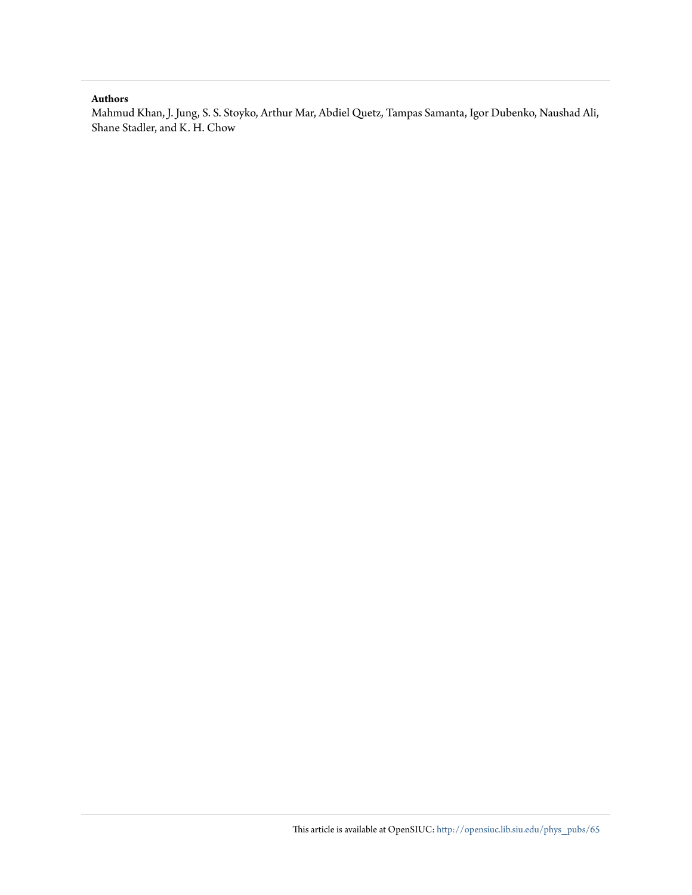### **Authors**

Mahmud Khan, J. Jung, S. S. Stoyko, Arthur Mar, Abdiel Quetz, Tampas Samanta, Igor Dubenko, Naushad Ali, Shane Stadler, and K. H. Chow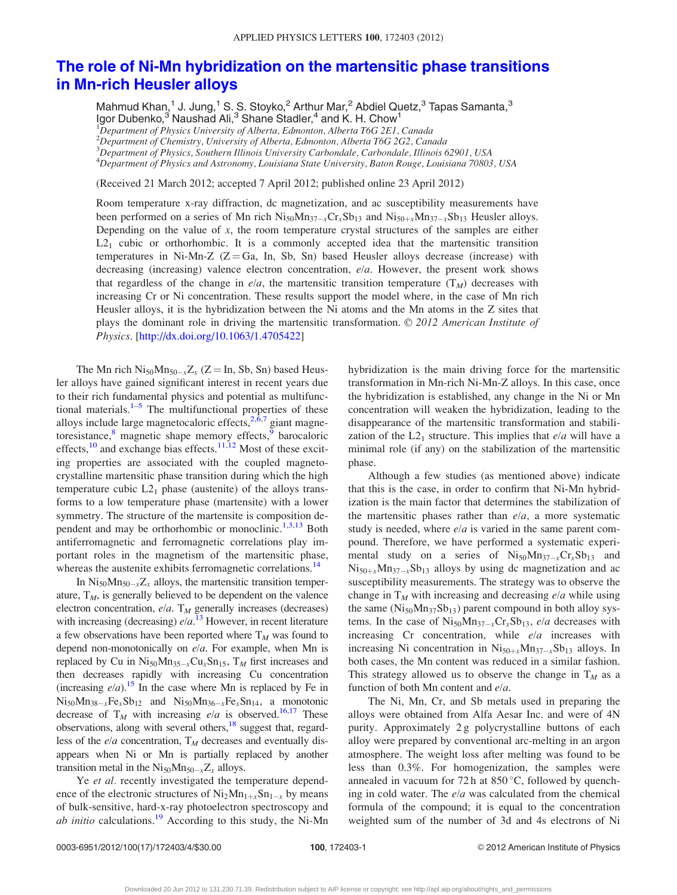## [The role of Ni-Mn hybridization on the martensitic phase transitions](http://dx.doi.org/10.1063/1.4705422) [in Mn-rich Heusler alloys](http://dx.doi.org/10.1063/1.4705422)

Mahmud Khan,<sup>1</sup> J. Jung,<sup>1</sup> S. S. Stoyko,<sup>2</sup> Arthur Mar,<sup>2</sup> Abdiel Quetz,<sup>3</sup> Tapas Samanta,<sup>3</sup> Igor Dubenko,<sup>3</sup> Naushad Ali,<sup>3</sup> Shane Stadler,<sup>4</sup> and K. H. Chow<sup>1</sup>

<sup>1</sup>Department of Physics University of Alberta, Edmonton, Alberta T6G 2E1, Canada

<sup>2</sup>Department of Chemistry, University of Alberta, Edmonton, Alberta T6G 2G2, Canada

3 Department of Physics, Southern Illinois University Carbondale, Carbondale, Illinois 62901, USA

<sup>4</sup>Department of Physics and Astronomy, Louisiana State University, Baton Rouge, Louisiana 70803, USA

(Received 21 March 2012; accepted 7 April 2012; published online 23 April 2012)

Room temperature x-ray diffraction, dc magnetization, and ac susceptibility measurements have been performed on a series of Mn rich  $Ni_{50}Mn_{37-x}Cr_xSb_{13}$  and  $Ni_{50+x}Mn_{37-x}Sb_{13}$  Heusler alloys. Depending on the value of  $x$ , the room temperature crystal structures of the samples are either  $L2<sub>1</sub>$  cubic or orthorhombic. It is a commonly accepted idea that the martensitic transition temperatures in Ni-Mn-Z  $(Z = Ga, In, Sb, Sn)$  based Heusler alloys decrease (increase) with decreasing (increasing) valence electron concentration,  $e/a$ . However, the present work shows that regardless of the change in  $e/a$ , the martensitic transition temperature  $(T_M)$  decreases with increasing Cr or Ni concentration. These results support the model where, in the case of Mn rich Heusler alloys, it is the hybridization between the Ni atoms and the Mn atoms in the Z sites that plays the dominant role in driving the martensitic transformation.  $\odot$  2012 American Institute of Physics. [\[http://dx.doi.org/10.1063/1.4705422\]](http://dx.doi.org/10.1063/1.4705422)

The Mn rich  $\text{Ni}_{50}\text{Mn}_{50-x}\text{Z}_{x}$  (Z = In, Sb, Sn) based Heusler alloys have gained significant interest in recent years due to their rich fundamental physics and potential as multifunc-tional materials.<sup>[1–5](#page-7-0)</sup> The multifunctional properties of these alloys include large magnetocaloric effects,  $2.67$  giant magnetoresistance, $8$  magnetic shape memory effects, $\frac{8}{9}$  $\frac{8}{9}$  $\frac{8}{9}$  barocaloric effects,<sup>[10](#page-7-0)</sup> and exchange bias effects.<sup>[11,12](#page-7-0)</sup> Most of these exciting properties are associated with the coupled magnetocrystalline martensitic phase transition during which the high temperature cubic  $L2_1$  phase (austenite) of the alloys transforms to a low temperature phase (martensite) with a lower symmetry. The structure of the martensite is composition de-pendent and may be orthorhombic or monoclinic.<sup>[1](#page-7-0),[3,13](#page-7-0)</sup> Both antiferromagnetic and ferromagnetic correlations play important roles in the magnetism of the martensitic phase, whereas the austenite exhibits ferromagnetic correlations.<sup>[14](#page-7-0)</sup>

In  $\text{Ni}_{50}\text{Mn}_{50-x}\text{Z}_{x}$  alloys, the martensitic transition temperature,  $T_M$ , is generally believed to be dependent on the valence electron concentration,  $e/a$ . T<sub>M</sub> generally increases (decreases) with increasing (decreasing)  $e/a$ .<sup>[13](#page-7-0)</sup> However, in recent literature a few observations have been reported where  $T_M$  was found to depend non-monotonically on  $e/a$ . For example, when Mn is replaced by Cu in  $Ni_{50}Mn_{35-x}Cu_{x}Sn_{15}$ ,  $T_M$  first increases and then decreases rapidly with increasing Cu concentration (increasing  $e/a$ ).<sup>15</sup> In the case where Mn is replaced by Fe in  $Ni_{50}Mn_{38-x}Fe_{x}Sb_{12}$  and  $Ni_{50}Mn_{36-x}Fe_{x}Sn_{14}$ , a monotonic decrease of  $T_M$  with increasing e/a is observed.<sup>[16,17](#page-7-0)</sup> These observations, along with several others,<sup>[18](#page-7-0)</sup> suggest that, regardless of the  $e/a$  concentration,  $T_M$  decreases and eventually disappears when Ni or Mn is partially replaced by another transition metal in the  $Ni_{50}Mn_{50-x}Z_x$  alloys.

Ye *et al.* recently investigated the temperature dependence of the electronic structures of  $Ni<sub>2</sub>Mn<sub>1+x</sub>Sn<sub>1-x</sub>$  by means of bulk-sensitive, hard-x-ray photoelectron spectroscopy and ab initio calculations.<sup>[19](#page-7-0)</sup> According to this study, the Ni-Mn hybridization is the main driving force for the martensitic transformation in Mn-rich Ni-Mn-Z alloys. In this case, once the hybridization is established, any change in the Ni or Mn concentration will weaken the hybridization, leading to the disappearance of the martensitic transformation and stabilization of the  $L2_1$  structure. This implies that  $e/a$  will have a minimal role (if any) on the stabilization of the martensitic phase.

Although a few studies (as mentioned above) indicate that this is the case, in order to confirm that Ni-Mn hybridization is the main factor that determines the stabilization of the martensitic phases rather than  $e/a$ , a more systematic study is needed, where  $e/a$  is varied in the same parent compound. Therefore, we have performed a systematic experimental study on a series of  $Ni_{50}Mn_{37-x}Cr_{x}Sb_{13}$  and  $Ni_{50+x}Mn_{37-x}Sb_{13}$  alloys by using dc magnetization and ac susceptibility measurements. The strategy was to observe the change in  $T_M$  with increasing and decreasing  $e/a$  while using the same  $(Ni_{50}Mn_{37}Sb_{13})$  parent compound in both alloy systems. In the case of  $\text{Ni}_{50}\text{Mn}_{37-x}\text{Cr}_{x}\text{Sb}_{13}$ , e/a decreases with increasing  $Cr$  concentration, while  $e/a$  increases with increasing Ni concentration in  $Ni_{50+x}Mn_{37-x}Sb_{13}$  alloys. In both cases, the Mn content was reduced in a similar fashion. This strategy allowed us to observe the change in  $T_M$  as a function of both Mn content and  $e/a$ .

The Ni, Mn, Cr, and Sb metals used in preparing the alloys were obtained from Alfa Aesar Inc. and were of 4N purity. Approximately 2 g polycrystalline buttons of each alloy were prepared by conventional arc-melting in an argon atmosphere. The weight loss after melting was found to be less than 0.3%. For homogenization, the samples were annealed in vacuum for 72 h at  $850^{\circ}$ C, followed by quenching in cold water. The  $e/a$  was calculated from the chemical formula of the compound; it is equal to the concentration weighted sum of the number of 3d and 4s electrons of Ni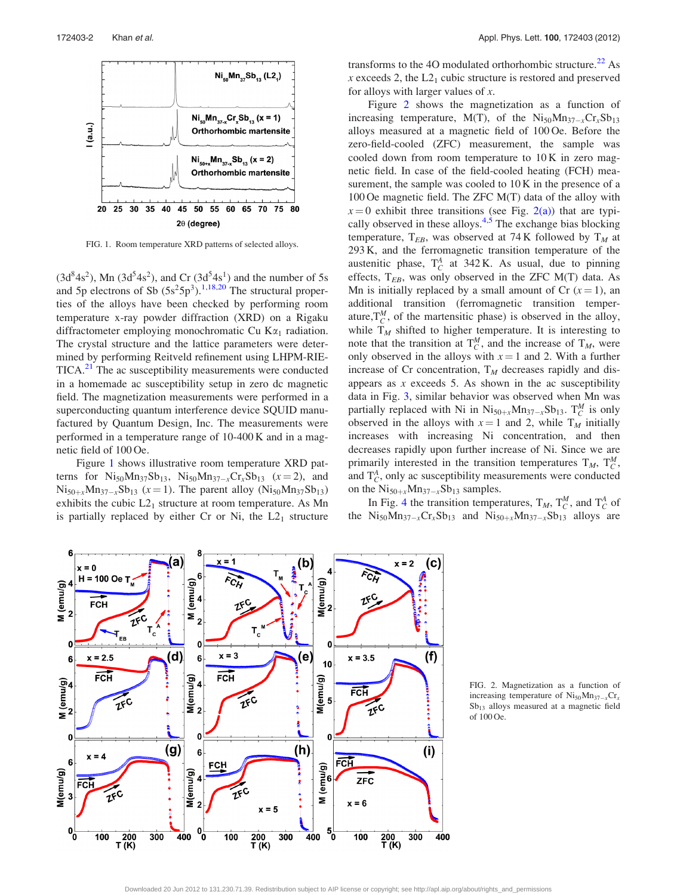

FIG. 1. Room temperature XRD patterns of selected alloys.

 $(3d<sup>8</sup>4s<sup>2</sup>)$ , Mn  $(3d<sup>5</sup>4s<sup>2</sup>)$ , and Cr  $(3d<sup>5</sup>4s<sup>1</sup>)$  and the number of 5s and 5p electrons of Sb  $(5s^25p^3)$ .<sup>[1,18,20](#page-7-0)</sup> The structural properties of the alloys have been checked by performing room temperature x-ray powder diffraction (XRD) on a Rigaku diffractometer employing monochromatic Cu  $K\alpha_1$  radiation. The crystal structure and the lattice parameters were determined by performing Reitveld refinement using LHPM-RIE-TICA.<sup>[21](#page-7-0)</sup> The ac susceptibility measurements were conducted in a homemade ac susceptibility setup in zero dc magnetic field. The magnetization measurements were performed in a superconducting quantum interference device SQUID manufactured by Quantum Design, Inc. The measurements were performed in a temperature range of 10-400 K and in a magnetic field of 100 Oe.

Figure 1 shows illustrative room temperature XRD patterns for  $Ni_{50}Mn_{37}Sb_{13}$ ,  $Ni_{50}Mn_{37-x}Cr_{x}Sb_{13}$  ( $x = 2$ ), and  $Ni_{50+x}Mn_{37-x}Sb_{13}$  ( $x = 1$ ). The parent alloy ( $Ni_{50}Mn_{37}Sb_{13}$ ) exhibits the cubic  $L2_1$  structure at room temperature. As Mn is partially replaced by either Cr or Ni, the  $L2<sub>1</sub>$  structure transforms to the 4O modulated orthorhombic structure.<sup>[22](#page-7-0)</sup> As x exceeds 2, the  $L2<sub>1</sub>$  cubic structure is restored and preserved for alloys with larger values of  $x$ .

Figure 2 shows the magnetization as a function of increasing temperature, M(T), of the  $\text{Ni}_{50}\text{Mn}_{37-x}\text{Cr}_{x}\text{Sb}_{13}$ alloys measured at a magnetic field of 100 Oe. Before the zero-field-cooled (ZFC) measurement, the sample was cooled down from room temperature to 10 K in zero magnetic field. In case of the field-cooled heating (FCH) measurement, the sample was cooled to  $10 \text{ K}$  in the presence of a 100 Oe magnetic field. The ZFC M(T) data of the alloy with  $x = 0$  exhibit three transitions (see Fig. 2(a)) that are typically observed in these alloys. $4.5$  The exchange bias blocking temperature,  $T_{EB}$ , was observed at 74 K followed by  $T_M$  at 293 K, and the ferromagnetic transition temperature of the austenitic phase,  $T_C^A$  at 342 K. As usual, due to pinning effects,  $T_{EB}$ , was only observed in the ZFC M(T) data. As Mn is initially replaced by a small amount of Cr  $(x = 1)$ , an additional transition (ferromagnetic transition temperature,  $T_C^M$ , of the martensitic phase) is observed in the alloy, while  $T_M$  shifted to higher temperature. It is interesting to note that the transition at  $T_C^M$ , and the increase of  $T_M$ , were only observed in the alloys with  $x = 1$  and 2. With a further increase of Cr concentration,  $T_M$  decreases rapidly and disappears as  $x$  exceeds 5. As shown in the ac susceptibility data in Fig. [3](#page-6-0), similar behavior was observed when Mn was partially replaced with Ni in  $Ni_{50+x}Mn_{37-x}Sb_{13}$ .  $T_C^M$  is only observed in the alloys with  $x = 1$  and 2, while  $T_M$  initially increases with increasing Ni concentration, and then decreases rapidly upon further increase of Ni. Since we are primarily interested in the transition temperatures  $T_M$ ,  $T_C^M$ , and  $T_C^A$ , only ac susceptibility measurements were conducted on the  $Ni_{50+x}Mn_{37-x}Sb_{13}$  samples.

In Fig. [4](#page-6-0) the transition temperatures,  $T_M$ ,  $T_C^M$ , and  $T_C^A$  of the  $\text{Ni}_{50} \text{Mn}_{37-x} \text{Cr}_{x} \text{Sb}_{13}$  and  $\text{Ni}_{50+x} \text{Mn}_{37-x} \text{Sb}_{13}$  alloys are



FIG. 2. Magnetization as a function of increasing temperature of  $\mathrm{Ni}_{50}\mathrm{Mn}_{37-x}\mathrm{Cr}_{x}$ Sb<sub>13</sub> alloys measured at a magnetic field of 100 Oe.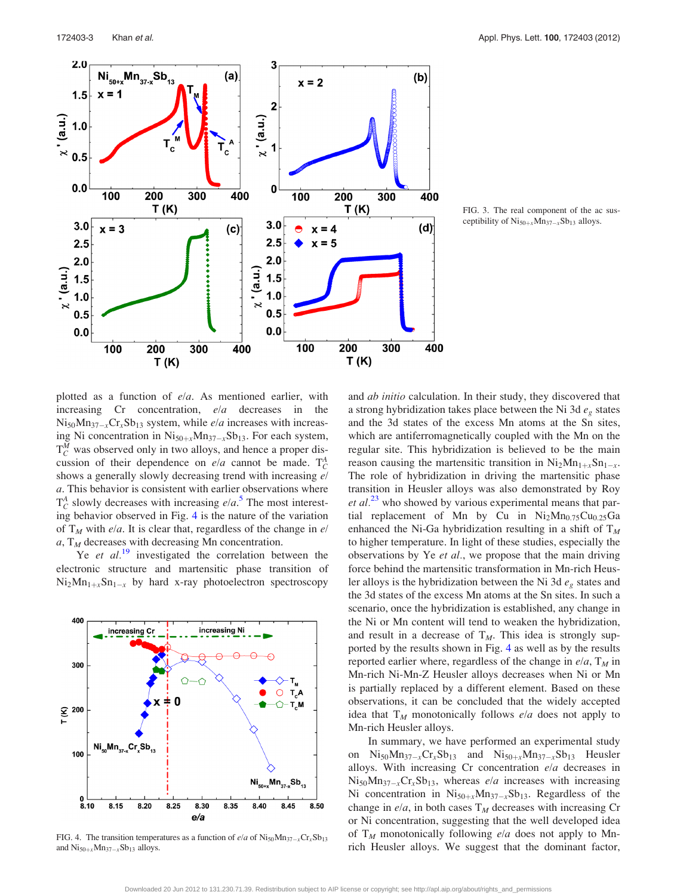<span id="page-6-0"></span>

FIG. 3. The real component of the ac susceptibility of  $\mathrm{Ni}_{50+x}\mathrm{Mn}_{37-x}\mathrm{Sb}_{13}$  alloys.

plotted as a function of e/a. As mentioned earlier, with increasing  $Cr$  concentration,  $e/a$  decreases in the  $Ni_{50}Mn_{37-x}Cr_{x}Sb_{13}$  system, while *e/a* increases with increasing Ni concentration in  $Ni_{50+x}Mn_{37-x}Sb_{13}$ . For each system,  $T_C^M$  was observed only in two alloys, and hence a proper discussion of their dependence on  $e/a$  cannot be made.  $T_C^A$ shows a generally slowly decreasing trend with increasing e/ a. This behavior is consistent with earlier observations where  $T_C^A$  slowly decreases with increasing  $e/a$ <sup>[5](#page-7-0)</sup>. The most interesting behavior observed in Fig. 4 is the nature of the variation of  $T_M$  with e/a. It is clear that, regardless of the change in e/  $a, T<sub>M</sub>$  decreases with decreasing Mn concentration.

Ye et  $al$ <sup>[19](#page-7-0)</sup> investigated the correlation between the electronic structure and martensitic phase transition of  $Ni<sub>2</sub>Mn<sub>1+x</sub>Sn<sub>1-x</sub>$  by hard x-ray photoelectron spectroscopy



FIG. 4. The transition temperatures as a function of  $e/a$  of  $Ni_{50}Mn_{37-x}Cr_{x}Sb_{13}$ and  $\text{Ni}_{50+x}\text{Mn}_{37-x}\text{Sb}_{13}$  alloys.

and ab initio calculation. In their study, they discovered that a strong hybridization takes place between the Ni 3d  $e<sub>g</sub>$  states and the 3d states of the excess Mn atoms at the Sn sites, which are antiferromagnetically coupled with the Mn on the regular site. This hybridization is believed to be the main reason causing the martensitic transition in  $Ni<sub>2</sub>Mn<sub>1+x</sub>Sn<sub>1-x</sub>$ . The role of hybridization in driving the martensitic phase transition in Heusler alloys was also demonstrated by Roy  $et al.<sup>23</sup>$  $et al.<sup>23</sup>$  $et al.<sup>23</sup>$  who showed by various experimental means that partial replacement of Mn by Cu in  $Ni<sub>2</sub>Mn<sub>0.75</sub>Cu<sub>0.25</sub>Ga$ enhanced the Ni-Ga hybridization resulting in a shift of  $T_M$ to higher temperature. In light of these studies, especially the observations by Ye et al., we propose that the main driving force behind the martensitic transformation in Mn-rich Heusler alloys is the hybridization between the Ni 3d  $e_g$  states and the 3d states of the excess Mn atoms at the Sn sites. In such a scenario, once the hybridization is established, any change in the Ni or Mn content will tend to weaken the hybridization, and result in a decrease of  $T_M$ . This idea is strongly supported by the results shown in Fig. 4 as well as by the results reported earlier where, regardless of the change in  $e/a$ ,  $T_M$  in Mn-rich Ni-Mn-Z Heusler alloys decreases when Ni or Mn is partially replaced by a different element. Based on these observations, it can be concluded that the widely accepted idea that  $T_M$  monotonically follows e/a does not apply to Mn-rich Heusler alloys.

In summary, we have performed an experimental study on  $\text{Ni}_{50}\text{Mn}_{37-x}\text{Cr}_{x}\text{Sb}_{13}$  and  $\text{Ni}_{50+x}\text{Mn}_{37-x}\text{Sb}_{13}$  Heusler alloys. With increasing  $Cr$  concentration  $e/a$  decreases in  $\text{Ni}_{50}\text{Mn}_{37-x}\text{Cr}_{x}\text{Sb}_{13}$ , whereas *e/a* increases with increasing Ni concentration in  $Ni<sub>50+x</sub>Mn<sub>37-x</sub>Sb<sub>13</sub>$ . Regardless of the change in  $e/a$ , in both cases  $T_M$  decreases with increasing Cr or Ni concentration, suggesting that the well developed idea of  $T_M$  monotonically following e/a does not apply to Mnrich Heusler alloys. We suggest that the dominant factor,